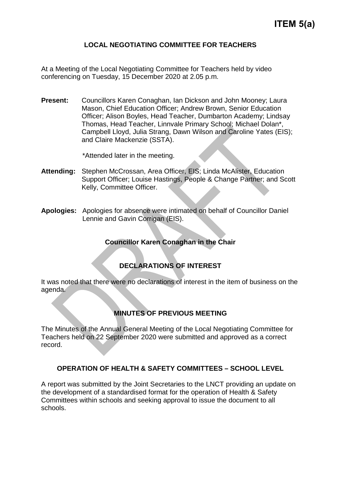## **LOCAL NEGOTIATING COMMITTEE FOR TEACHERS**

At a Meeting of the Local Negotiating Committee for Teachers held by video conferencing on Tuesday, 15 December 2020 at 2.05 p.m.

**Present:** Councillors Karen Conaghan, Ian Dickson and John Mooney; Laura Mason, Chief Education Officer; Andrew Brown, Senior Education Officer; Alison Boyles, Head Teacher, Dumbarton Academy; Lindsay Thomas, Head Teacher, Linnvale Primary School; Michael Dolan\*, Campbell Lloyd, Julia Strang, Dawn Wilson and Caroline Yates (EIS); and Claire Mackenzie (SSTA).

\*Attended later in the meeting.

- **Attending:** Stephen McCrossan, Area Officer, EIS; Linda McAlister, Education Support Officer; Louise Hastings, People & Change Partner; and Scott Kelly, Committee Officer.
- **Apologies:** Apologies for absence were intimated on behalf of Councillor Daniel Lennie and Gavin Corrigan (EIS).

# **Councillor Karen Conaghan in the Chair**

# **DECLARATIONS OF INTEREST**

It was noted that there were no declarations of interest in the item of business on the agenda.

#### **MINUTES OF PREVIOUS MEETING**

The Minutes of the Annual General Meeting of the Local Negotiating Committee for Teachers held on 22 September 2020 were submitted and approved as a correct record.

#### **OPERATION OF HEALTH & SAFETY COMMITTEES – SCHOOL LEVEL**

A report was submitted by the Joint Secretaries to the LNCT providing an update on the development of a standardised format for the operation of Health & Safety Committees within schools and seeking approval to issue the document to all schools.